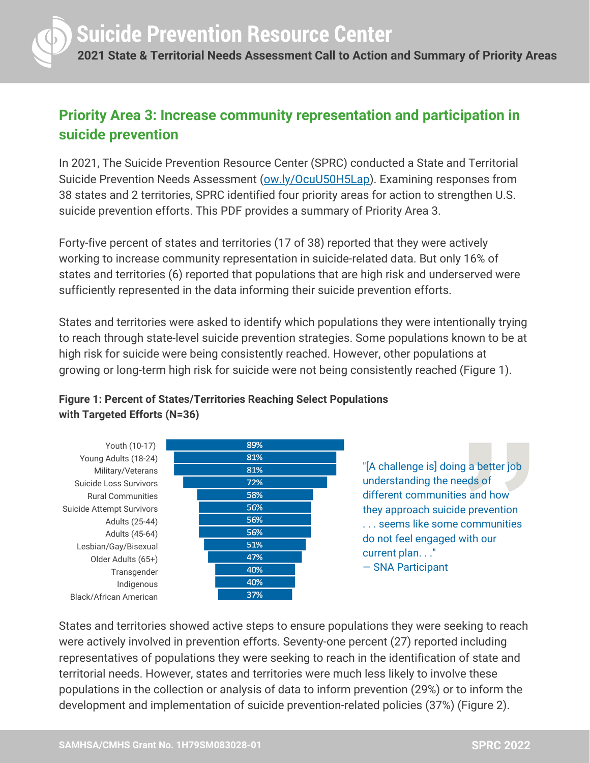

## **Priority Area 3: Increase community representation and participation in suicide prevention**

In 2021, The Suicide Prevention Resource Center (SPRC) conducted a State and Territorial Suicide Prevention Needs Assessment [\(ow.ly/OcuU50H5Lap\)](http://ow.ly/OcuU50H5Lap). Examining responses from 38 states and 2 territories, SPRC identified four priority areas for action to strengthen U.S. suicide prevention efforts. This PDF provides a summary of Priority Area 3.

Forty-five percent of states and territories (17 of 38) reported that they were actively working to increase community representation in suicide-related data. But only 16% of states and territories (6) reported that populations that are high risk and underserved were sufficiently represented in the data informing their suicide prevention efforts.

States and territories were asked to identify which populations they were intentionally trying to reach through state-level suicide prevention strategies. Some populations known to be at high risk for suicide were being consistently reached. However, other populations at growing or long-term high risk for suicide were not being consistently reached (Figure 1).



**Figure 1: Percent of States/Territories Reaching Select Populations with Targeted Efforts (N=36)**

> "[A challenge is] doing a better job understanding the needs of different communities and how they approach suicide prevention . . . seems like some communities do not feel engaged with our current plan. . ." — SNA Participant

States and territories showed active steps to ensure populations they were seeking to reach were actively involved in prevention efforts. Seventy-one percent (27) reported including representatives of populations they were seeking to reach in the identification of state and territorial needs. However, states and territories were much less likely to involve these populations in the collection or analysis of data to inform prevention (29%) or to inform the development and implementation of suicide prevention-related policies (37%) (Figure 2).